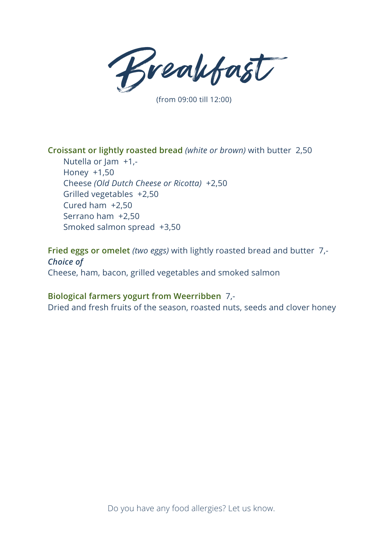Breakfast

(from 09:00 till 12:00)

#### **Croissant or lightly roasted bread** *(white or brown)* with butter 2,50

Nutella or Jam +1,- Honey +1,50 Cheese *(Old Dutch Cheese or Ricotta)* +2,50 Grilled vegetables +2,50 Cured ham +2,50 Serrano ham +2,50 Smoked salmon spread +3,50

**Fried eggs or omelet** *(two eggs)* with lightly roasted bread and butter 7,- *Choice of* Cheese, ham, bacon, grilled vegetables and smoked salmon

#### **Biological farmers yogurt from Weerribben** 7,-

Dried and fresh fruits of the season, roasted nuts, seeds and clover honey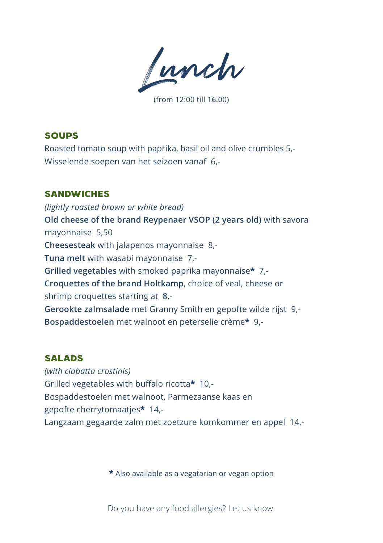Lunch

(from 12:00 till 16.00)

# Soups

Roasted tomato soup with paprika, basil oil and olive crumbles 5,- Wisselende soepen van het seizoen vanaf 6,-

# **SANDWICHES**

*(lightly roasted brown or white bread)* **Old cheese of the brand Reypenaer VSOP (2 years old)** with savora mayonnaise 5,50 **Cheesesteak** with jalapenos mayonnaise 8,- **Tuna melt** with wasabi mayonnaise 7,- **Grilled vegetables** with smoked paprika mayonnaise**\*** 7,- **Croquettes of the brand Holtkamp**, choice of veal, cheese or shrimp croquettes starting at 8,- **Gerookte zalmsalade** met Granny Smith en gepofte wilde rijst 9,- **Bospaddestoelen** met walnoot en peterselie crème**\*** 9,-

### **SALADS**

*(with ciabatta crostinis)* Grilled vegetables with buffalo ricotta**\*** 10,- Bospaddestoelen met walnoot, Parmezaanse kaas en gepofte cherrytomaatjes**\*** 14,- Langzaam gegaarde zalm met zoetzure komkommer en appel 14,-

**\*** Also available as a vegatarian or vegan option

Do you have any food allergies? Let us know.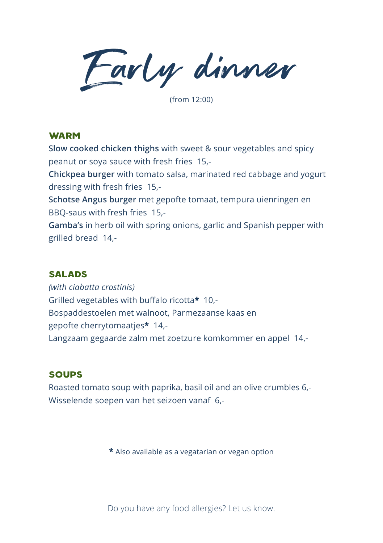Early dinner

(from 12:00)

#### **WARM**

**Slow cooked chicken thighs** with sweet & sour vegetables and spicy peanut or soya sauce with fresh fries 15,-

**Chickpea burger** with tomato salsa, marinated red cabbage and yogurt dressing with fresh fries 15,-

**Schotse Angus burger** met gepofte tomaat, tempura uienringen en BBQ-saus with fresh fries 15,-

**Gamba's** in herb oil with spring onions, garlic and Spanish pepper with grilled bread 14,-

### **SALADS**

*(with ciabatta crostinis)* Grilled vegetables with buffalo ricotta**\*** 10,- Bospaddestoelen met walnoot, Parmezaanse kaas en gepofte cherrytomaatjes**\*** 14,- Langzaam gegaarde zalm met zoetzure komkommer en appel 14,-

## Soups

Roasted tomato soup with paprika, basil oil and an olive crumbles 6,- Wisselende soepen van het seizoen vanaf 6,-

**\*** Also available as a vegatarian or vegan option

Do you have any food allergies? Let us know.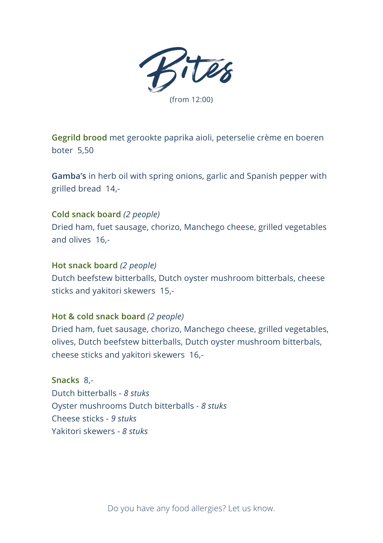

**Gegrild brood** met gerookte paprika aioli, peterselie crème en boeren boter 5,50

**Gamba's** in herb oil with spring onions, garlic and Spanish pepper with grilled bread 14,-

### **Cold snack board** *(2 people)*

Dried ham, fuet sausage, chorizo, Manchego cheese, grilled vegetables and olives 16,-

#### **Hot snack board** *(2 people)*

Dutch beefstew bitterballs, Dutch oyster mushroom bitterbals, cheese sticks and yakitori skewers 15,-

#### **Hot & cold snack board** *(2 people)*

Dried ham, fuet sausage, chorizo, Manchego cheese, grilled vegetables, olives, Dutch beefstew bitterballs, Dutch oyster mushroom bitterbals, cheese sticks and yakitori skewers 16,-

**Snacks** 8,- Dutch bitterballs - *8 stuks* Oyster mushrooms Dutch bitterballs - *8 stuks* Cheese sticks - *9 stuks* Yakitori skewers - *8 stuks*

Do you have any food allergies? Let us know.